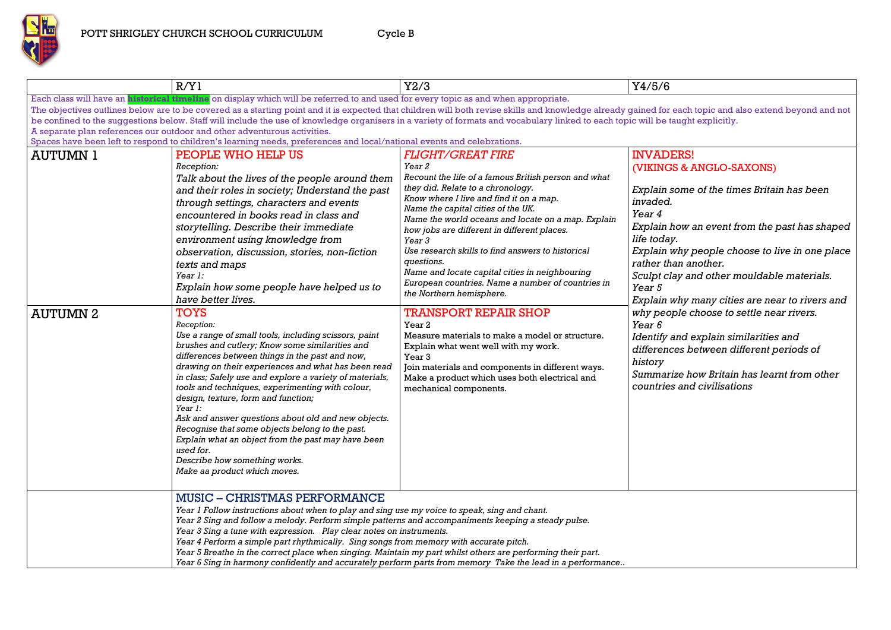*Explain why people choose to live in one place*  an another.

*Explain some of the times Britain has been* 

*Explain how an event from the past has shaped* 

|                 | R/Y1                                                                                                                                                                                                                                                                                                                                                                                                                                                                                                                                                                                                                                                                                                                 | Y2/3                                                                                                                                                                                                                                                                                                                                                                                                                                                                                                                                  | Y4/5/6                                                                                                                                                                                                                                             |
|-----------------|----------------------------------------------------------------------------------------------------------------------------------------------------------------------------------------------------------------------------------------------------------------------------------------------------------------------------------------------------------------------------------------------------------------------------------------------------------------------------------------------------------------------------------------------------------------------------------------------------------------------------------------------------------------------------------------------------------------------|---------------------------------------------------------------------------------------------------------------------------------------------------------------------------------------------------------------------------------------------------------------------------------------------------------------------------------------------------------------------------------------------------------------------------------------------------------------------------------------------------------------------------------------|----------------------------------------------------------------------------------------------------------------------------------------------------------------------------------------------------------------------------------------------------|
|                 | Each class will have an <b>historical timeline</b> on display which will be referred to and used for every topic as and when appropriate.<br>The objectives outlines below are to be covered as a starting point and it is expected that children will both revise skills and knowledge already gained for each topic and a<br>be confined to the suggestions below. Staff will include the use of knowledge organisers in a variety of formats and vocabulary linked to each topic will be taught explicitly.<br>A separate plan references our outdoor and other adventurous activities.<br>Spaces have been left to respond to children's learning needs, preferences and local/national events and celebrations. |                                                                                                                                                                                                                                                                                                                                                                                                                                                                                                                                       |                                                                                                                                                                                                                                                    |
| <b>AUTUMN 1</b> | PEOPLE WHO HELP US<br>Reception:<br>Talk about the lives of the people around them<br>and their roles in society; Understand the past<br>through settings, characters and events<br>encountered in books read in class and<br>storytelling. Describe their immediate<br>environment using knowledge from<br>observation, discussion, stories, non-fiction<br>texts and maps<br>Year 1:<br>Explain how some people have helped us to<br>have better lives.                                                                                                                                                                                                                                                            | <b>FLIGHT/GREAT FIRE</b><br>Year 2<br>Recount the life of a famous British person and what<br>they did. Relate to a chronology.<br>Know where I live and find it on a map.<br>Name the capital cities of the UK.<br>Name the world oceans and locate on a map. Explain<br>how jobs are different in different places.<br>Year 3<br>Use research skills to find answers to historical<br>questions.<br>Name and locate capital cities in neighbouring<br>European countries. Name a number of countries in<br>the Northern hemisphere. | <b>INVADERS!</b><br>(VIKINGS & ANGLO-S.<br>Explain some of the tin<br>invaded.<br>Year 4<br>Explain how an event f.<br>life today.<br>Explain why people ch<br>rather than another.<br>Sculpt clay and other n<br>Year 5<br>Explain why many citie |
| <b>AUTUMN 2</b> | <b>TOYS</b><br>Reception:<br>Use a range of small tools, including scissors, paint<br>brushes and cutlery; Know some similarities and<br>differences between things in the past and now,<br>drawing on their experiences and what has been read<br>in class; Safely use and explore a variety of materials,<br>tools and techniques, experimenting with colour,<br>design, texture, form and function;<br>Year 1:<br>Ask and answer questions about old and new objects.<br>Recognise that some objects belong to the past.<br>Explain what an object from the past may have been<br>used for.<br>Describe how something works.<br>Make aa product which moves.                                                      | <b>TRANSPORT REPAIR SHOP</b><br>Year 2<br>Measure materials to make a model or structure.<br>Explain what went well with my work.<br>Year <sub>3</sub><br>Join materials and components in different ways.<br>Make a product which uses both electrical and<br>mechanical components.                                                                                                                                                                                                                                                 | why people choose to<br>Year 6<br>Identify and explain sii<br>differences between d.<br>history<br>Summarize how Britain<br>countries and civilisation                                                                                             |
|                 | <b>MUSIC – CHRISTMAS PERFORMANCE</b><br>Year 1 Follow instructions about when to play and sing use my voice to speak, sing and chant.<br>Year 2 Sing and follow a melody. Perform simple patterns and accompaniments keeping a steady pulse.<br>Year 3 Sing a tune with expression. Play clear notes on instruments.<br>Year 4 Perform a simple part rhythmically. Sing songs from memory with accurate pitch.<br>Year 5 Breathe in the correct place when singing. Maintain my part whilst others are performing their part.                                                                                                                                                                                        | Year 6 Sing in harmony confidently and accurately perform parts from memory Take the lead in a performance                                                                                                                                                                                                                                                                                                                                                                                                                            |                                                                                                                                                                                                                                                    |

each topic and also extend beyond and not

### ERS! S & ANGLO-SAXONS)

*Sculpt clay and other mouldable materials.*

*Explain why many cities are near to rivers and why people choose to settle near rivers.*

*Identify and explain similarities and differences between different periods of* 

*Summarize how Britain has learnt from other countries and civilisations*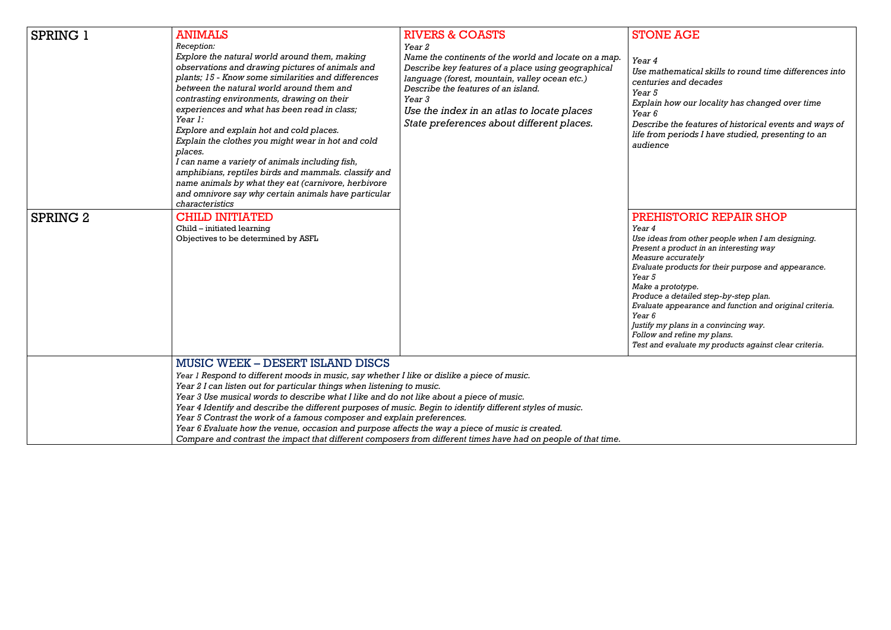*Use mathematical skills to round time differences into centuries and decades*

*Explain how our locality has changed over time*

*Describe the features of historical events and ways of life from periods I have studied, presenting to an* 

### **FORIC REPAIR SHOP**

| <b>SPRING 1</b> | <b>ANIMALS</b><br>Reception:<br>Explore the natural world around them, making<br>observations and drawing pictures of animals and<br>plants; 15 - Know some similarities and differences<br>between the natural world around them and<br>contrasting environments, drawing on their<br>experiences and what has been read in class;<br>Year 1:<br>Explore and explain hot and cold places.<br>Explain the clothes you might wear in hot and cold<br>places.<br>I can name a variety of animals including fish,<br>amphibians, reptiles birds and mammals. classify and                                   | <b>RIVERS &amp; COASTS</b><br>Year 2<br>Name the continents of the world and locate on a map.<br>Describe key features of a place using geographical<br>language (forest, mountain, valley ocean etc.)<br>Describe the features of an island.<br>Year 3<br>Use the index in an atlas to locate places<br>State preferences about different places. | <b>STONE</b><br>Year 4<br>Use mathe<br>centuries a<br><i>Year</i> 5<br>Explain ho<br>Year 6<br>Describe t.<br>life from p<br>audience                                               |
|-----------------|----------------------------------------------------------------------------------------------------------------------------------------------------------------------------------------------------------------------------------------------------------------------------------------------------------------------------------------------------------------------------------------------------------------------------------------------------------------------------------------------------------------------------------------------------------------------------------------------------------|----------------------------------------------------------------------------------------------------------------------------------------------------------------------------------------------------------------------------------------------------------------------------------------------------------------------------------------------------|-------------------------------------------------------------------------------------------------------------------------------------------------------------------------------------|
| <b>SPRING 2</b> | name animals by what they eat (carnivore, herbivore<br>and omnivore say why certain animals have particular<br>characteristics<br><b>CHILD INITIATED</b><br>Child - initiated learning<br>Objectives to be determined by ASFL                                                                                                                                                                                                                                                                                                                                                                            |                                                                                                                                                                                                                                                                                                                                                    | <b>PREHIS'</b><br>Year 4<br>Use ideas fi<br>Present a p.<br>Measure ac<br>Evaluate pr<br>Year 5<br>Make a pro<br>Produce a c<br>Evaluate ap<br>Year 6<br>Justify my p<br>Follow and |
|                 | <b>MUSIC WEEK – DESERT ISLAND DISCS</b><br>Year 1 Respond to different moods in music, say whether I like or dislike a piece of music.<br>Year 2 I can listen out for particular things when listening to music.<br>Year 3 Use musical words to describe what I like and do not like about a piece of music.<br>Year 4 Identify and describe the different purposes of music. Begin to identify different styles of music.<br>Year 5 Contrast the work of a famous composer and explain preferences.<br>Year 6 Evaluate how the venue, occasion and purpose affects the way a piece of music is created. | Compare and contrast the impact that different composers from different times have had on people of that time.                                                                                                                                                                                                                                     | Test and ev                                                                                                                                                                         |

# **AGE**

*Use ideas from other people when I am designing. Present a product in an interesting way Measure accurately Evaluate products for their purpose and appearance.*

> *Make a prototype. Produce a detailed step-by-step plan. Evaluate appearance and function and original criteria.*

*Justify my plans in a convincing way. refine my plans. Test and evaluate my products against clear criteria.*